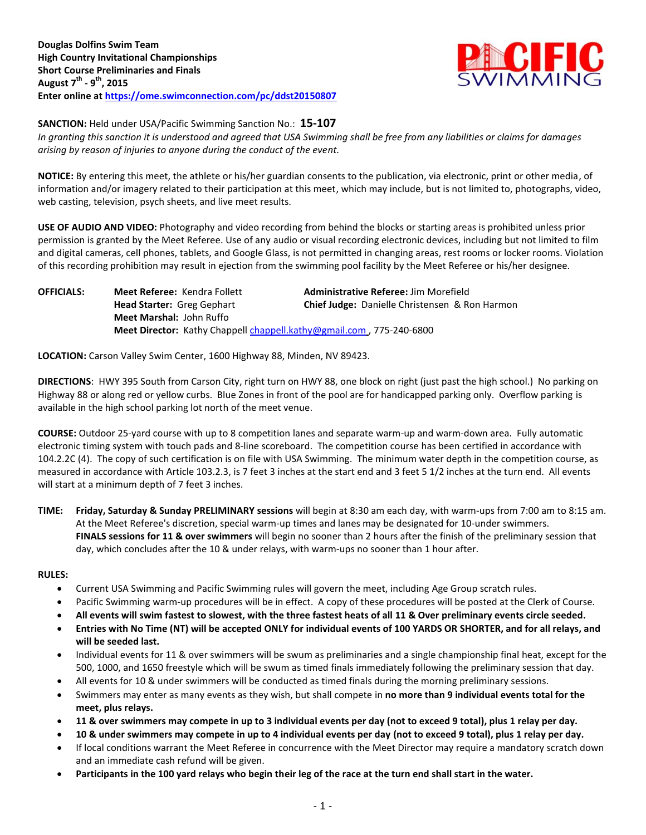

**SANCTION:** Held under USA/Pacific Swimming Sanction No.: **15-107**

*In granting this sanction it is understood and agreed that USA Swimming shall be free from any liabilities or claims for damages arising by reason of injuries to anyone during the conduct of the event.*

**NOTICE:** By entering this meet, the athlete or his/her guardian consents to the publication, via electronic, print or other media, of information and/or imagery related to their participation at this meet, which may include, but is not limited to, photographs, video, web casting, television, psych sheets, and live meet results.

**USE OF AUDIO AND VIDEO:** Photography and video recording from behind the blocks or starting areas is prohibited unless prior permission is granted by the Meet Referee. Use of any audio or visual recording electronic devices, including but not limited to film and digital cameras, cell phones, tablets, and Google Glass, is not permitted in changing areas, rest rooms or locker rooms. Violation of this recording prohibition may result in ejection from the swimming pool facility by the Meet Referee or his/her designee.

**OFFICIALS: Meet Referee:** Kendra Follett **Administrative Referee:** Jim Morefield **Head Starter:** Greg Gephart **Chief Judge:** Danielle Christensen & Ron Harmon **Meet Marshal:** John Ruffo Meet Director: Kathy Chappell [chappell.kathy@gmail.com](mailto:chappell.kathy@gmail.com), 775-240-6800

**LOCATION:** Carson Valley Swim Center, 1600 Highway 88, Minden, NV 89423.

**DIRECTIONS**: HWY 395 South from Carson City, right turn on HWY 88, one block on right (just past the high school.) No parking on Highway 88 or along red or yellow curbs. Blue Zones in front of the pool are for handicapped parking only. Overflow parking is available in the high school parking lot north of the meet venue.

**COURSE:** Outdoor 25-yard course with up to 8 competition lanes and separate warm-up and warm-down area. Fully automatic electronic timing system with touch pads and 8-line scoreboard. The competition course has been certified in accordance with 104.2.2C (4). The copy of such certification is on file with USA Swimming. The minimum water depth in the competition course, as measured in accordance with Article 103.2.3, is 7 feet 3 inches at the start end and 3 feet 5 1/2 inches at the turn end. All events will start at a minimum depth of 7 feet 3 inches.

**TIME: Friday, Saturday & Sunday PRELIMINARY sessions** will begin at 8:30 am each day, with warm-ups from 7:00 am to 8:15 am. At the Meet Referee's discretion, special warm-up times and lanes may be designated for 10-under swimmers. **FINALS sessions for 11 & over swimmers** will begin no sooner than 2 hours after the finish of the preliminary session that day, which concludes after the 10 & under relays, with warm-ups no sooner than 1 hour after.

### **RULES:**

- Current USA Swimming and Pacific Swimming rules will govern the meet, including Age Group scratch rules.
- Pacific Swimming warm-up procedures will be in effect. A copy of these procedures will be posted at the Clerk of Course.
- **All events will swim fastest to slowest, with the three fastest heats of all 11 & Over preliminary events circle seeded.**
- **Entries with No Time (NT) will be accepted ONLY for individual events of 100 YARDS OR SHORTER, and for all relays, and will be seeded last.**
- Individual events for 11 & over swimmers will be swum as preliminaries and a single championship final heat, except for the 500, 1000, and 1650 freestyle which will be swum as timed finals immediately following the preliminary session that day.
- All events for 10 & under swimmers will be conducted as timed finals during the morning preliminary sessions.
- Swimmers may enter as many events as they wish, but shall compete in **no more than 9 individual events total for the meet, plus relays.**
- **11 & over swimmers may compete in up to 3 individual events per day (not to exceed 9 total), plus 1 relay per day.**
- **10 & under swimmers may compete in up to 4 individual events per day (not to exceed 9 total), plus 1 relay per day.**
- If local conditions warrant the Meet Referee in concurrence with the Meet Director may require a mandatory scratch down and an immediate cash refund will be given.
- **Participants in the 100 yard relays who begin their leg of the race at the turn end shall start in the water.**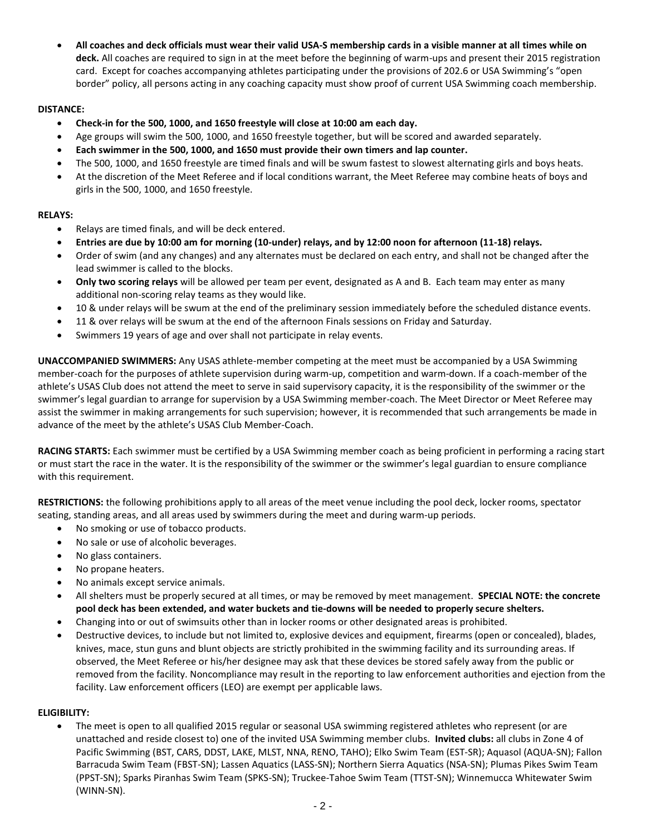**All coaches and deck officials must wear their valid USA-S membership cards in a visible manner at all times while on deck.** All coaches are required to sign in at the meet before the beginning of warm-ups and present their 2015 registration card. Except for coaches accompanying athletes participating under the provisions of 202.6 or USA Swimming's "open border" policy, all persons acting in any coaching capacity must show proof of current USA Swimming coach membership.

# **DISTANCE:**

- **Check-in for the 500, 1000, and 1650 freestyle will close at 10:00 am each day.**
- Age groups will swim the 500, 1000, and 1650 freestyle together, but will be scored and awarded separately.
- **Each swimmer in the 500, 1000, and 1650 must provide their own timers and lap counter.**
- The 500, 1000, and 1650 freestyle are timed finals and will be swum fastest to slowest alternating girls and boys heats.
- At the discretion of the Meet Referee and if local conditions warrant, the Meet Referee may combine heats of boys and girls in the 500, 1000, and 1650 freestyle.

## **RELAYS:**

- Relays are timed finals, and will be deck entered.
- **Entries are due by 10:00 am for morning (10-under) relays, and by 12:00 noon for afternoon (11-18) relays.**
- Order of swim (and any changes) and any alternates must be declared on each entry, and shall not be changed after the lead swimmer is called to the blocks.
- **Only two scoring relays** will be allowed per team per event, designated as A and B. Each team may enter as many additional non-scoring relay teams as they would like.
- 10 & under relays will be swum at the end of the preliminary session immediately before the scheduled distance events.
- 11 & over relays will be swum at the end of the afternoon Finals sessions on Friday and Saturday.
- Swimmers 19 years of age and over shall not participate in relay events.

**UNACCOMPANIED SWIMMERS:** Any USAS athlete-member competing at the meet must be accompanied by a USA Swimming member-coach for the purposes of athlete supervision during warm-up, competition and warm-down. If a coach-member of the athlete's USAS Club does not attend the meet to serve in said supervisory capacity, it is the responsibility of the swimmer or the swimmer's legal guardian to arrange for supervision by a USA Swimming member-coach. The Meet Director or Meet Referee may assist the swimmer in making arrangements for such supervision; however, it is recommended that such arrangements be made in advance of the meet by the athlete's USAS Club Member-Coach.

**RACING STARTS:** Each swimmer must be certified by a USA Swimming member coach as being proficient in performing a racing start or must start the race in the water. It is the responsibility of the swimmer or the swimmer's legal guardian to ensure compliance with this requirement.

**RESTRICTIONS:** the following prohibitions apply to all areas of the meet venue including the pool deck, locker rooms, spectator seating, standing areas, and all areas used by swimmers during the meet and during warm-up periods.

- No smoking or use of tobacco products.
- No sale or use of alcoholic beverages.
- No glass containers.
- No propane heaters.
- No animals except service animals.
- All shelters must be properly secured at all times, or may be removed by meet management. **SPECIAL NOTE: the concrete pool deck has been extended, and water buckets and tie-downs will be needed to properly secure shelters.**
- Changing into or out of swimsuits other than in locker rooms or other designated areas is prohibited.
- Destructive devices, to include but not limited to, explosive devices and equipment, firearms (open or concealed), blades, knives, mace, stun guns and blunt objects are strictly prohibited in the swimming facility and its surrounding areas. If observed, the Meet Referee or his/her designee may ask that these devices be stored safely away from the public or removed from the facility. Noncompliance may result in the reporting to law enforcement authorities and ejection from the facility. Law enforcement officers (LEO) are exempt per applicable laws.

### **ELIGIBILITY:**

 The meet is open to all qualified 2015 regular or seasonal USA swimming registered athletes who represent (or are unattached and reside closest to) one of the invited USA Swimming member clubs. **Invited clubs:** all clubs in Zone 4 of Pacific Swimming (BST, CARS, DDST, LAKE, MLST, NNA, RENO, TAHO); Elko Swim Team (EST-SR); Aquasol (AQUA-SN); Fallon Barracuda Swim Team (FBST-SN); Lassen Aquatics (LASS-SN); Northern Sierra Aquatics (NSA-SN); Plumas Pikes Swim Team (PPST-SN); Sparks Piranhas Swim Team (SPKS-SN); Truckee-Tahoe Swim Team (TTST-SN); Winnemucca Whitewater Swim (WINN-SN).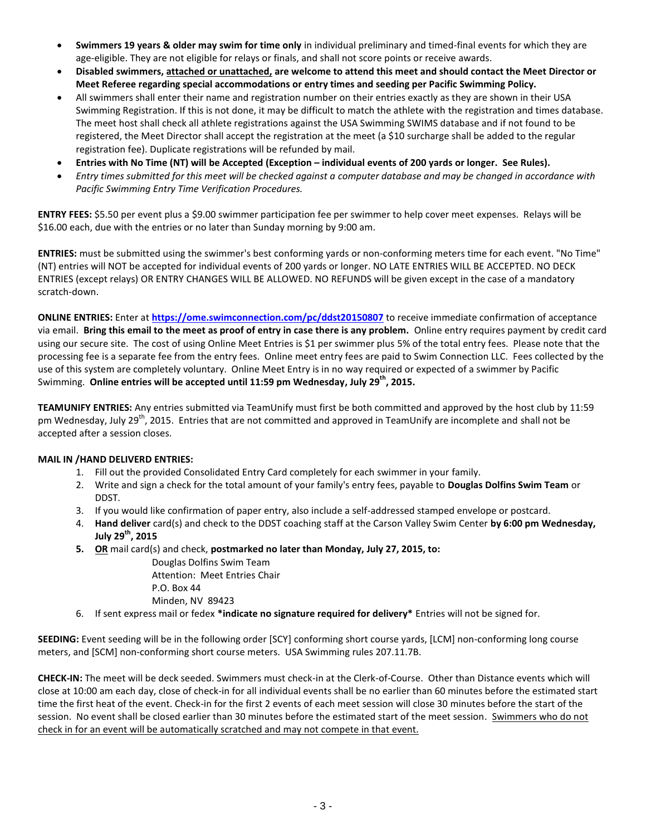- **Swimmers 19 years & older may swim for time only** in individual preliminary and timed-final events for which they are age-eligible. They are not eligible for relays or finals, and shall not score points or receive awards.
- **Disabled swimmers, attached or unattached, are welcome to attend this meet and should contact the Meet Director or Meet Referee regarding special accommodations or entry times and seeding per Pacific Swimming Policy.**
- All swimmers shall enter their name and registration number on their entries exactly as they are shown in their USA Swimming Registration. If this is not done, it may be difficult to match the athlete with the registration and times database. The meet host shall check all athlete registrations against the USA Swimming SWIMS database and if not found to be registered, the Meet Director shall accept the registration at the meet (a \$10 surcharge shall be added to the regular registration fee). Duplicate registrations will be refunded by mail.
- **Entries with No Time (NT) will be Accepted (Exception – individual events of 200 yards or longer. See Rules).**
- *Entry times submitted for this meet will be checked against a computer database and may be changed in accordance with Pacific Swimming Entry Time Verification Procedures.*

**ENTRY FEES:** \$5.50 per event plus a \$9.00 swimmer participation fee per swimmer to help cover meet expenses. Relays will be \$16.00 each, due with the entries or no later than Sunday morning by 9:00 am.

**ENTRIES:** must be submitted using the swimmer's best conforming yards or non-conforming meters time for each event. "No Time" (NT) entries will NOT be accepted for individual events of 200 yards or longer. NO LATE ENTRIES WILL BE ACCEPTED. NO DECK ENTRIES (except relays) OR ENTRY CHANGES WILL BE ALLOWED. NO REFUNDS will be given except in the case of a mandatory scratch-down.

**ONLINE ENTRIES:** Enter at **<https://ome.swimconnection.com/pc/ddst20150807>** to receive immediate confirmation of acceptance via email. **Bring this email to the meet as proof of entry in case there is any problem.** Online entry requires payment by credit card using our secure site. The cost of using Online Meet Entries is \$1 per swimmer plus 5% of the total entry fees. Please note that the processing fee is a separate fee from the entry fees. Online meet entry fees are paid to Swim Connection LLC. Fees collected by the use of this system are completely voluntary. Online Meet Entry is in no way required or expected of a swimmer by Pacific Swimming. **Online entries will be accepted until 11:59 pm Wednesday, July 29th, 2015.**

**TEAMUNIFY ENTRIES:** Any entries submitted via TeamUnify must first be both committed and approved by the host club by 11:59 pm Wednesday, July 29<sup>th</sup>, 2015. Entries that are not committed and approved in TeamUnify are incomplete and shall not be accepted after a session closes.

### **MAIL IN /HAND DELIVERD ENTRIES:**

- 1. Fill out the provided Consolidated Entry Card completely for each swimmer in your family.
- 2. Write and sign a check for the total amount of your family's entry fees, payable to **Douglas Dolfins Swim Team** or DDST.
- 3. If you would like confirmation of paper entry, also include a self-addressed stamped envelope or postcard.
- 4. **Hand deliver** card(s) and check to the DDST coaching staff at the Carson Valley Swim Center **by 6:00 pm Wednesday, July 29th, 2015**
- **5. OR** mail card(s) and check, **postmarked no later than Monday, July 27, 2015, to:**

Douglas Dolfins Swim Team Attention: Meet Entries Chair P.O. Box 44 Minden, NV 89423

6. If sent express mail or fedex **\*indicate no signature required for delivery\*** Entries will not be signed for.

**SEEDING:** Event seeding will be in the following order [SCY] conforming short course yards, [LCM] non-conforming long course meters, and [SCM] non-conforming short course meters. USA Swimming rules 207.11.7B.

**CHECK-IN:** The meet will be deck seeded. Swimmers must check-in at the Clerk-of-Course. Other than Distance events which will close at 10:00 am each day, close of check-in for all individual events shall be no earlier than 60 minutes before the estimated start time the first heat of the event. Check-in for the first 2 events of each meet session will close 30 minutes before the start of the session. No event shall be closed earlier than 30 minutes before the estimated start of the meet session. Swimmers who do not check in for an event will be automatically scratched and may not compete in that event.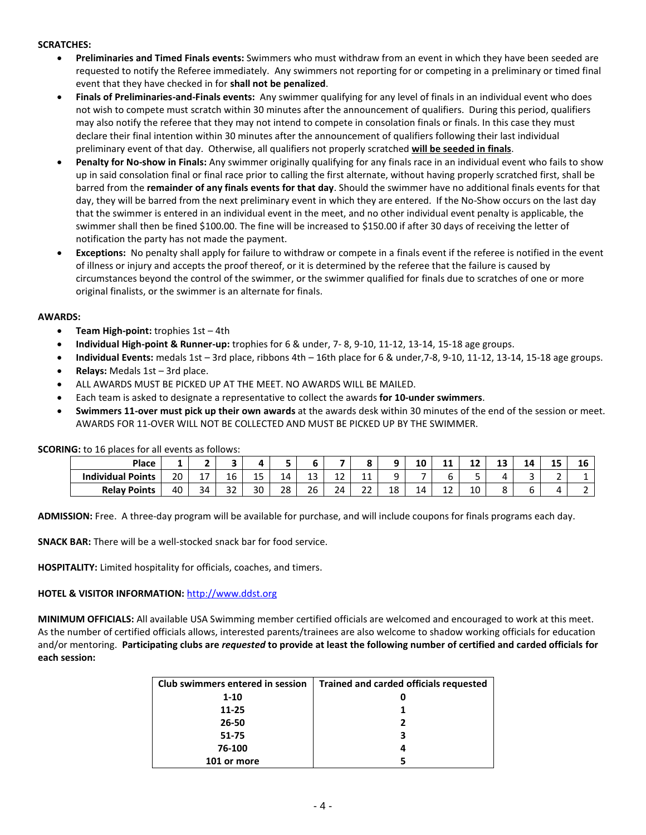### **SCRATCHES:**

- **Preliminaries and Timed Finals events:** Swimmers who must withdraw from an event in which they have been seeded are requested to notify the Referee immediately. Any swimmers not reporting for or competing in a preliminary or timed final event that they have checked in for **shall not be penalized**.
- **Finals of Preliminaries-and-Finals events:** Any swimmer qualifying for any level of finals in an individual event who does not wish to compete must scratch within 30 minutes after the announcement of qualifiers. During this period, qualifiers may also notify the referee that they may not intend to compete in consolation finals or finals. In this case they must declare their final intention within 30 minutes after the announcement of qualifiers following their last individual preliminary event of that day. Otherwise, all qualifiers not properly scratched **will be seeded in finals**.
- **Penalty for No-show in Finals:** Any swimmer originally qualifying for any finals race in an individual event who fails to show up in said consolation final or final race prior to calling the first alternate, without having properly scratched first, shall be barred from the **remainder of any finals events for that day**. Should the swimmer have no additional finals events for that day, they will be barred from the next preliminary event in which they are entered. If the No-Show occurs on the last day that the swimmer is entered in an individual event in the meet, and no other individual event penalty is applicable, the swimmer shall then be fined \$100.00. The fine will be increased to \$150.00 if after 30 days of receiving the letter of notification the party has not made the payment.
- **Exceptions:** No penalty shall apply for failure to withdraw or compete in a finals event if the referee is notified in the event of illness or injury and accepts the proof thereof, or it is determined by the referee that the failure is caused by circumstances beyond the control of the swimmer, or the swimmer qualified for finals due to scratches of one or more original finalists, or the swimmer is an alternate for finals.

#### **AWARDS:**

- **Team High-point:** trophies 1st 4th
- **Individual High-point & Runner-up:** trophies for 6 & under, 7- 8, 9-10, 11-12, 13-14, 15-18 age groups.
- **Individual Events:** medals 1st 3rd place, ribbons 4th 16th place for 6 & under,7-8, 9-10, 11-12, 13-14, 15-18 age groups.
- **Relays:** Medals 1st 3rd place.
- ALL AWARDS MUST BE PICKED UP AT THE MEET. NO AWARDS WILL BE MAILED.
- Each team is asked to designate a representative to collect the awards **for 10-under swimmers**.
- **Swimmers 11-over must pick up their own awards** at the awards desk within 30 minutes of the end of the session or meet. AWARDS FOR 11-OVER WILL NOT BE COLLECTED AND MUST BE PICKED UP BY THE SWIMMER.

**SCORING:** to 16 places for all events as follows:

| Place                    | -  | -                                    |               |          |          |    |                           |                                       |           | 10 | . .<br>. . | . .<br>-- | ני ו<br>-- | 14 | 4 F<br>-- | 16                       |
|--------------------------|----|--------------------------------------|---------------|----------|----------|----|---------------------------|---------------------------------------|-----------|----|------------|-----------|------------|----|-----------|--------------------------|
| <b>Individual Points</b> | 20 | $\overline{\phantom{a}}$<br><u>_</u> | 16            | 1 F<br>ᅩ | 14<br>-- | IJ | --                        | $\overline{\phantom{a}}$<br><b>__</b> |           |    |            |           |            | J  |           |                          |
| <b>Relay Points</b>      | 40 | 34                                   | $\sim$<br>ے ر | 30       | 28       | 26 | $\sim$<br>,⊿<br><u>_-</u> | $\sim$<br><u>__</u>                   | 1 O<br>TΟ | 14 | . .<br>∸∸  | 10        | ັ          | o  |           | $\overline{\phantom{a}}$ |

**ADMISSION:** Free. A three-day program will be available for purchase, and will include coupons for finals programs each day.

**SNACK BAR:** There will be a well-stocked snack bar for food service.

**HOSPITALITY:** Limited hospitality for officials, coaches, and timers.

#### **HOTEL & VISITOR INFORMATION:** [http://www.ddst.org](http://www.ddst.org/)

**MINIMUM OFFICIALS:** All available USA Swimming member certified officials are welcomed and encouraged to work at this meet. As the number of certified officials allows, interested parents/trainees are also welcome to shadow working officials for education and/or mentoring. **Participating clubs are** *requested* **to provide at least the following number of certified and carded officials for each session:**

| Club swimmers entered in session | <b>Trained and carded officials requested</b> |
|----------------------------------|-----------------------------------------------|
| $1 - 10$                         |                                               |
| 11-25                            |                                               |
| 26-50                            |                                               |
| 51-75                            | 3                                             |
| 76-100                           |                                               |
| 101 or more                      |                                               |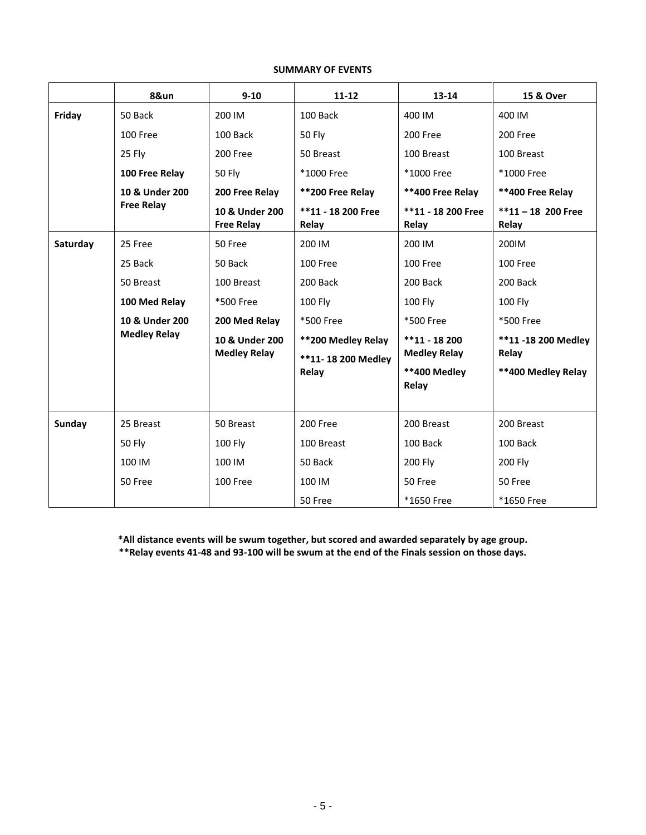# **SUMMARY OF EVENTS**

|          | 8&un                | $9 - 10$                              | $11 - 12$                                | 13-14                                 | 15 & Over                     |
|----------|---------------------|---------------------------------------|------------------------------------------|---------------------------------------|-------------------------------|
| Friday   | 50 Back             | 200 IM                                | 100 Back                                 | 400 IM                                | 400 IM                        |
|          | 100 Free            | 100 Back                              | <b>50 Fly</b>                            | 200 Free                              | 200 Free                      |
|          | 25 Fly              | 200 Free                              | 50 Breast                                | 100 Breast                            | 100 Breast                    |
|          | 100 Free Relay      | <b>50 Fly</b>                         | *1000 Free                               | *1000 Free                            | *1000 Free                    |
|          | 10 & Under 200      | 200 Free Relay                        | **200 Free Relay                         | **400 Free Relay                      | **400 Free Relay              |
|          | <b>Free Relay</b>   | 10 & Under 200<br><b>Free Relay</b>   | **11 - 18 200 Free<br>Relay              | **11 - 18 200 Free<br>Relay           | $**11 - 18$ 200 Free<br>Relay |
| Saturday | 25 Free             | 50 Free                               | 200 IM                                   | 200 IM                                | 200IM                         |
|          | 25 Back             | 50 Back                               | 100 Free                                 | 100 Free                              | 100 Free                      |
|          | 50 Breast           | 100 Breast                            | 200 Back                                 | 200 Back                              | 200 Back                      |
|          | 100 Med Relay       | *500 Free                             | 100 Fly                                  | 100 Fly                               | 100 Fly                       |
|          | 10 & Under 200      | 200 Med Relay                         | *500 Free                                | *500 Free                             | *500 Free                     |
|          | <b>Medley Relay</b> | 10 & Under 200<br><b>Medley Relay</b> | **200 Medley Relay<br>**11-18 200 Medley | $**11 - 18200$<br><b>Medley Relay</b> | **11 -18 200 Medley<br>Relay  |
|          |                     |                                       | Relay                                    | **400 Medley<br>Relay                 | **400 Medley Relay            |
| Sunday   | 25 Breast           | 50 Breast                             | 200 Free                                 | 200 Breast                            | 200 Breast                    |
|          | <b>50 Fly</b>       | <b>100 Fly</b>                        | 100 Breast                               | 100 Back                              | 100 Back                      |
|          | 100 IM              | 100 IM                                | 50 Back                                  | 200 Fly                               | 200 Fly                       |
|          | 50 Free             | 100 Free                              | 100 IM                                   | 50 Free                               | 50 Free                       |
|          |                     |                                       | 50 Free                                  | *1650 Free                            | *1650 Free                    |

**\*All distance events will be swum together, but scored and awarded separately by age group. \*\*Relay events 41-48 and 93-100 will be swum at the end of the Finals session on those days.**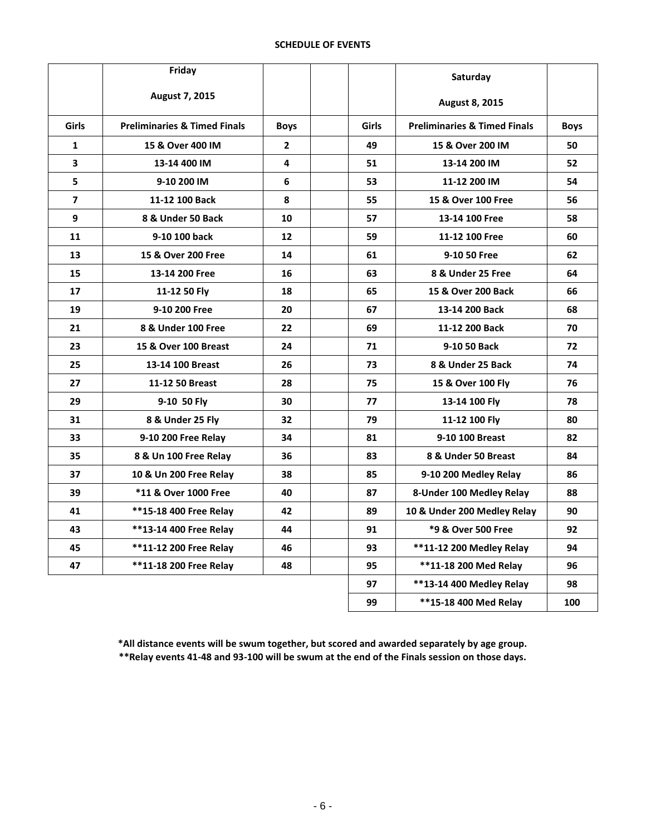# **SCHEDULE OF EVENTS**

|                         | Friday                                  |                |              | Saturday                                |             |
|-------------------------|-----------------------------------------|----------------|--------------|-----------------------------------------|-------------|
|                         | August 7, 2015                          |                |              | August 8, 2015                          |             |
| Girls                   | <b>Preliminaries &amp; Timed Finals</b> | <b>Boys</b>    | <b>Girls</b> | <b>Preliminaries &amp; Timed Finals</b> | <b>Boys</b> |
| $\mathbf{1}$            | 15 & Over 400 IM                        | $\overline{2}$ | 49           | 15 & Over 200 IM                        | 50          |
| $\mathbf{3}$            | 13-14 400 IM                            | 4              | 51           | 13-14 200 IM                            | 52          |
| 5                       | 9-10 200 IM                             | 6              | 53           | 11-12 200 IM                            | 54          |
| $\overline{\mathbf{z}}$ | 11-12 100 Back                          | 8              | 55           | 15 & Over 100 Free                      | 56          |
| 9                       | 8 & Under 50 Back                       | 10             | 57           | 13-14 100 Free                          | 58          |
| 11                      | 9-10 100 back                           | 12             | 59           | 11-12 100 Free                          | 60          |
| 13                      | 15 & Over 200 Free                      | 14             | 61           | 9-10 50 Free                            | 62          |
| 15                      | 13-14 200 Free                          | 16             | 63           | 8 & Under 25 Free                       | 64          |
| 17                      | 11-12 50 Fly                            | 18             | 65           | 15 & Over 200 Back                      | 66          |
| 19                      | 9-10 200 Free                           | 20             | 67           | 13-14 200 Back                          | 68          |
| 21                      | 8 & Under 100 Free                      | 22             | 69           | 11-12 200 Back                          | 70          |
| 23                      | 15 & Over 100 Breast                    | 24             | 71           | 9-10 50 Back                            | 72          |
| 25                      | 13-14 100 Breast                        | 26             | 73           | 8 & Under 25 Back                       | 74          |
| 27                      | 11-12 50 Breast                         | 28             | 75           | 15 & Over 100 Fly                       | 76          |
| 29                      | 9-10 50 Fly                             | 30             | 77           | 13-14 100 Fly                           | 78          |
| 31                      | 8 & Under 25 Fly                        | 32             | 79           | 11-12 100 Fly                           | 80          |
| 33                      | 9-10 200 Free Relay                     | 34             | 81           | 9-10 100 Breast                         | 82          |
| 35                      | 8 & Un 100 Free Relay                   | 36             | 83           | 8 & Under 50 Breast                     | 84          |
| 37                      | 10 & Un 200 Free Relay                  | 38             | 85           | 9-10 200 Medley Relay                   | 86          |
| 39                      | *11 & Over 1000 Free                    | 40             | 87           | 8-Under 100 Medley Relay                | 88          |
| 41                      | **15-18 400 Free Relay                  | 42             | 89           | 10 & Under 200 Medley Relay             | 90          |
| 43                      | **13-14 400 Free Relay                  | 44             | 91           | *9 & Over 500 Free                      | 92          |
| 45                      | **11-12 200 Free Relay                  | 46             | 93           | **11-12 200 Medley Relay                | 94          |
| 47                      | **11-18 200 Free Relay                  | 48             | 95           | **11-18 200 Med Relay                   | 96          |
|                         |                                         |                | 97           | **13-14 400 Medley Relay                | 98          |
|                         |                                         |                | 99           | **15-18 400 Med Relay                   | 100         |

**\*All distance events will be swum together, but scored and awarded separately by age group. \*\*Relay events 41-48 and 93-100 will be swum at the end of the Finals session on those days.**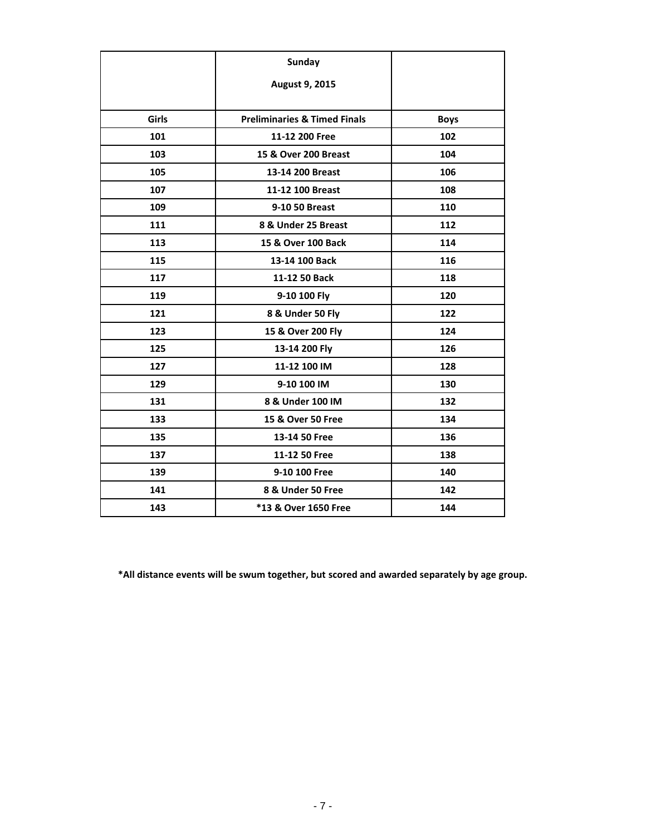|              | <b>Sunday</b>                           |             |
|--------------|-----------------------------------------|-------------|
|              | August 9, 2015                          |             |
|              |                                         |             |
| <b>Girls</b> | <b>Preliminaries &amp; Timed Finals</b> | <b>Boys</b> |
| 101          | 11-12 200 Free                          | 102         |
| 103          | 15 & Over 200 Breast                    | 104         |
| 105          | 13-14 200 Breast                        | 106         |
| 107          | 11-12 100 Breast                        | 108         |
| 109          | 9-10 50 Breast                          | 110         |
| 111          | 8 & Under 25 Breast                     | 112         |
| 113          | 15 & Over 100 Back                      | 114         |
| 115          | 13-14 100 Back                          | 116         |
| 117          | 11-12 50 Back                           | 118         |
| 119          | 9-10 100 Fly                            | 120         |
| 121          | 8 & Under 50 Fly                        | 122         |
| 123          | 15 & Over 200 Fly                       | 124         |
| 125          | 13-14 200 Fly                           | 126         |
| 127          | 11-12 100 IM                            | 128         |
| 129          | 9-10 100 IM                             | 130         |
| 131          | 8 & Under 100 IM                        | 132         |
| 133          | 15 & Over 50 Free                       | 134         |
| 135          | 13-14 50 Free                           | 136         |
| 137          | 11-12 50 Free                           | 138         |
| 139          | 9-10 100 Free                           | 140         |
| 141          | 8 & Under 50 Free                       | 142         |
| 143          | *13 & Over 1650 Free                    | 144         |

**\*All distance events will be swum together, but scored and awarded separately by age group.**